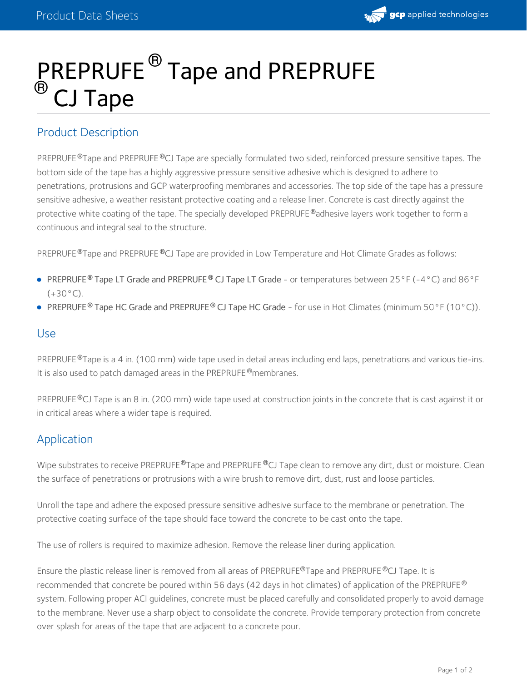# $\mathbb R$ REPRUFE $^\circ$  Tape and PREPRUFE CJ Tape  $^{\circledR}$  Tanc  $^\circledR$   $\cap$  I T $\cdot$

## Product Description

PREPRUFE ®Tape and PREPRUFE ®CJ Tape are specially formulated two sided, reinforced pressure sensitive tapes. The bottom side of the tape has a highly aggressive pressure sensitive adhesive which is designed to adhere to penetrations, protrusions and GCP waterproofing membranes and accessories. The top side of the tape has a pressure sensitive adhesive, a weather resistant protective coating and a release liner. Concrete is cast directly against the protective white coating of the tape. The specially developed PREPRUFE ®adhesive layers work together to form a continuous and integral seal to the structure.

PREPRUFE <sup>®</sup>Tape and PREPRUFE <sup>®</sup>CJ Tape are provided in Low Temperature and Hot Climate Grades as follows:

- PREPRUFE Tape LT Grade and PREPRUFE CJ Tape LT Grade or temperatures between 25°F (-4°C) and 86°F **® ®**  $(+30^{\circ}C)$ .
- **PREPRUFE<sup>®</sup> Tape HC Grade and PREPRUFE<sup>®</sup> CJ Tape HC Grade for use in Hot Climates (minimum 50°F (10°C)).**

### Use

PREPRUFE ®Tape is a 4 in. (100 mm) wide tape used in detail areas including end laps, penetrations and various tie-ins. It is also used to patch damaged areas in the PREPRUFE ®membranes.

PREPRUFE®CJ Tape is an 8 in. (200 mm) wide tape used at construction joints in the concrete that is cast against it or in critical areas where a wider tape is required.

## Application

Wipe substrates to receive PREPRUFE®Tape and PREPRUFE®CJ Tape clean to remove any dirt, dust or moisture. Clean the surface of penetrations or protrusions with a wire brush to remove dirt, dust, rust and loose particles.

Unroll the tape and adhere the exposed pressure sensitive adhesive surface to the membrane or penetration. The protective coating surface of the tape should face toward the concrete to be cast onto the tape.

The use of rollers is required to maximize adhesion. Remove the release liner during application.

Ensure the plastic release liner is removed from all areas of PREPRUFE®Tape and PREPRUFE®CJ Tape. It is recommended that concrete be poured within 56 days (42 days in hot climates) of application of the PREPRUFE  $^\circledR$ system. Following proper ACI guidelines, concrete must be placed carefully and consolidated properly to avoid damage to the membrane. Never use a sharp object to consolidate the concrete. Provide temporary protection from concrete over splash for areas of the tape that are adjacent to a concrete pour.